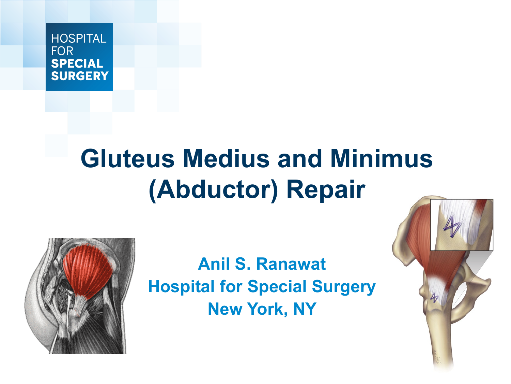#### HOSPITAL **FOR SPECIAL SURGERY**

# **Gluteus Medius and Minimus (Abductor) Repair**



**Anil S. Ranawat Hospital for Special Surgery New York, NY** 

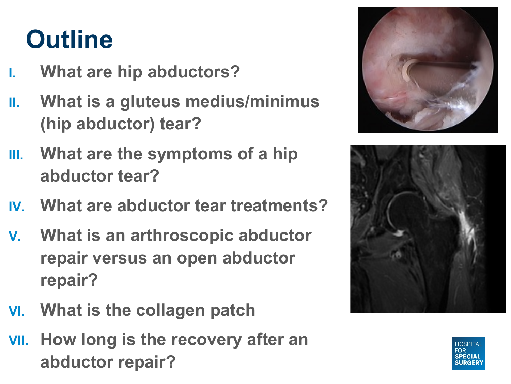### **Outline**

- **I. What are hip abductors?**
- **II. What is a gluteus medius/minimus (hip abductor) tear?**
- **III. What are the symptoms of a hip abductor tear?**
- **IV. What are abductor tear treatments?**
- **V. What is an arthroscopic abductor repair versus an open abductor repair?**
- **VI. What is the collagen patch**
- **VII. How long is the recovery after an abductor repair?**





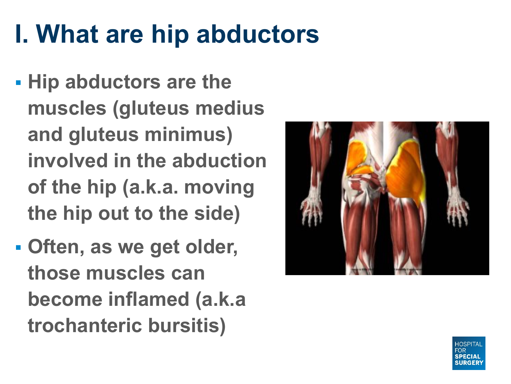## **I. What are hip abductors**

- § **Hip abductors are the muscles (gluteus medius and gluteus minimus) involved in the abduction of the hip (a.k.a. moving the hip out to the side)**
- § **Often, as we get older, those muscles can become inflamed (a.k.a trochanteric bursitis)**

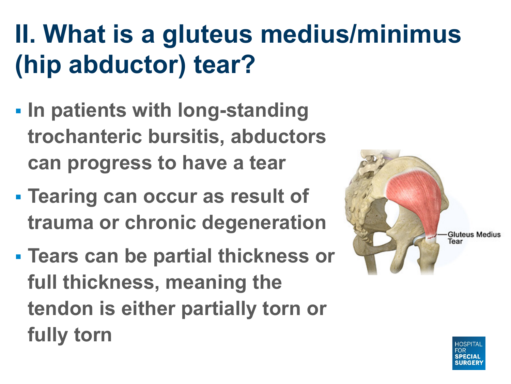## **II. What is a gluteus medius/minimus (hip abductor) tear?**

- § **In patients with long-standing trochanteric bursitis, abductors can progress to have a tear**
- § **Tearing can occur as result of trauma or chronic degeneration**
- § **Tears can be partial thickness or full thickness, meaning the tendon is either partially torn or fully torn**

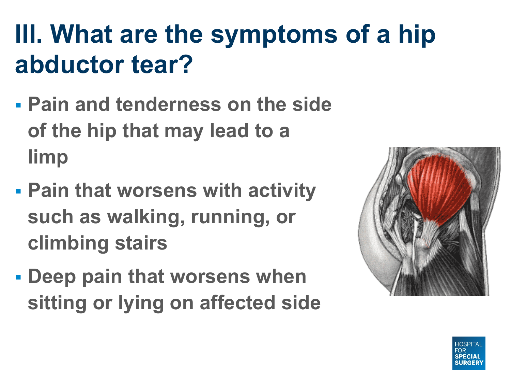## **III. What are the symptoms of a hip abductor tear?**

- § **Pain and tenderness on the side of the hip that may lead to a limp**
- § **Pain that worsens with activity such as walking, running, or climbing stairs**
- § **Deep pain that worsens when sitting or lying on affected side**

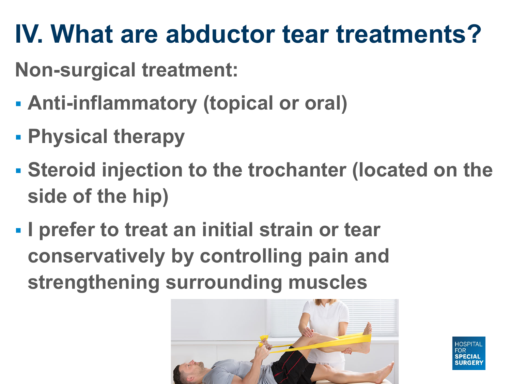#### **IV. What are abductor tear treatments?**

**Non-surgical treatment:**

- § **Anti-inflammatory (topical or oral)**
- § **Physical therapy**
- § **Steroid injection to the trochanter (located on the side of the hip)**
- § **I prefer to treat an initial strain or tear conservatively by controlling pain and strengthening surrounding muscles**

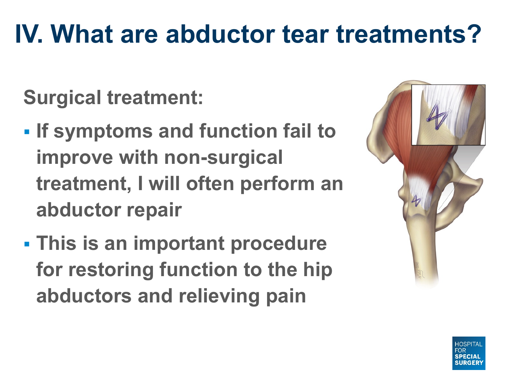#### **IV. What are abductor tear treatments?**

- **Surgical treatment:**
- § **If symptoms and function fail to improve with non-surgical treatment, I will often perform an abductor repair**
- § **This is an important procedure for restoring function to the hip abductors and relieving pain**

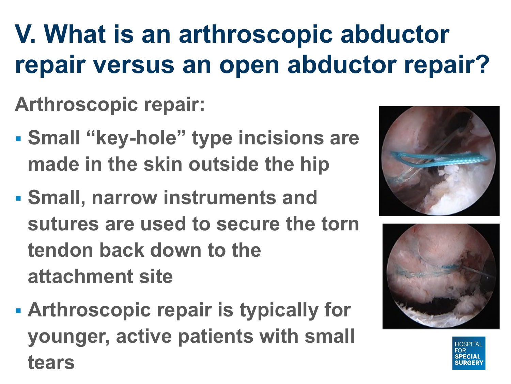## **V. What is an arthroscopic abductor repair versus an open abductor repair?**

**Arthroscopic repair:**

- § **Small "key-hole" type incisions are made in the skin outside the hip**
- § **Small, narrow instruments and sutures are used to secure the torn tendon back down to the attachment site**
- § **Arthroscopic repair is typically for younger, active patients with small tears**



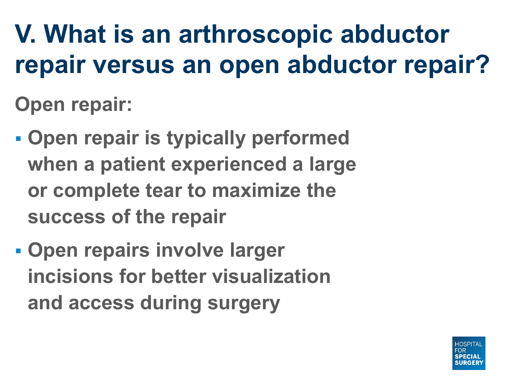**V. What is an arthroscopic abductor repair versus an open abductor repair? Open repair:**

- § **Open repair is typically performed when a patient experienced a large or complete tear to maximize the success of the repair**
- § **Open repairs involve larger incisions for better visualization and access during surgery**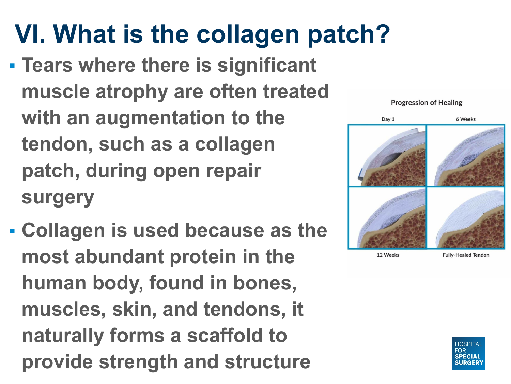**VI. What is the collagen patch?** § **Tears where there is significant muscle atrophy are often treated with an augmentation to the tendon, such as a collagen patch, during open repair surgery**

§ **Collagen is used because as the most abundant protein in the human body, found in bones, muscles, skin, and tendons, it naturally forms a scaffold to provide strength and structure**



#### **Progression of Healing**



12 Weeks

**Fully-Healed Tendon**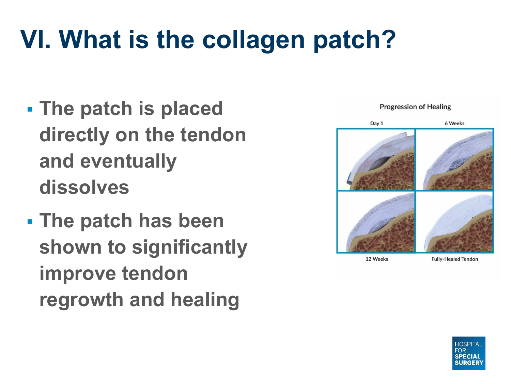## **VI. What is the collagen patch?**

- § **The patch is placed directly on the tendon and eventually dissolves**
- § **The patch has been shown to significantly improve tendon regrowth and healing**



#### **Progression of Healing**



12 Weeks

**Fully-Healed Tendon**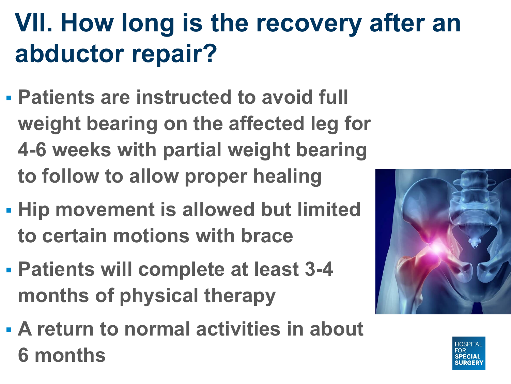## **VII. How long is the recovery after an abductor repair?**

- § **Patients are instructed to avoid full weight bearing on the affected leg for 4-6 weeks with partial weight bearing to follow to allow proper healing**
- § **Hip movement is allowed but limited to certain motions with brace**
- § **Patients will complete at least 3-4 months of physical therapy**
- § **A return to normal activities in about 6 months**